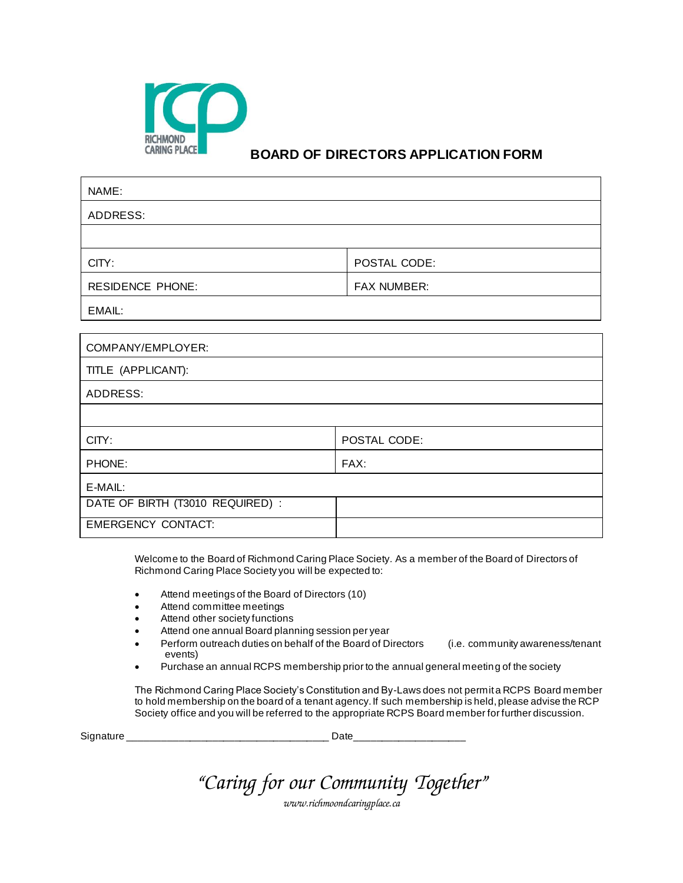

## **BOARD OF DIRECTORS APPLICATION FORM**

| NAME:                            |                    |  |
|----------------------------------|--------------------|--|
| <b>ADDRESS:</b>                  |                    |  |
|                                  |                    |  |
| CITY:                            | POSTAL CODE:       |  |
| <b>RESIDENCE PHONE:</b>          | <b>FAX NUMBER:</b> |  |
| EMAIL:                           |                    |  |
|                                  |                    |  |
| COMPANY/EMPLOYER:                |                    |  |
| TITLE (APPLICANT):               |                    |  |
| <b>ADDRESS:</b>                  |                    |  |
|                                  |                    |  |
| CITY:                            | POSTAL CODE:       |  |
| PHONE:                           | FAX:               |  |
| E-MAIL:                          |                    |  |
| DATE OF BIRTH (T3010 REQUIRED) : |                    |  |
| <b>EMERGENCY CONTACT:</b>        |                    |  |

Welcome to the Board of Richmond Caring Place Society*.* As a member of the Board of Directors of Richmond Caring Place Society you will be expected to:

- Attend meetings of the Board of Directors (10)
- Attend committee meetings
- Attend other society functions
- Attend one annual Board planning session per year
- Perform outreach duties on behalf of the Board of Directors (i.e. community awareness/tenant events)
- Purchase an annual RCPS membership prior to the annual general meeting of the society

The Richmond Caring Place Society's Constitution and By-Laws does not permit a RCPS Board member to hold membership on the board of a tenant agency. If such membership is held, please advise the RCP Society office and you will be referred to the appropriate RCPS Board member for further discussion.

| Signature |  |  |
|-----------|--|--|
|           |  |  |

|  | "Caring for our Community Together" |
|--|-------------------------------------|
|--|-------------------------------------|

*www.richmoondcaringplace.ca*